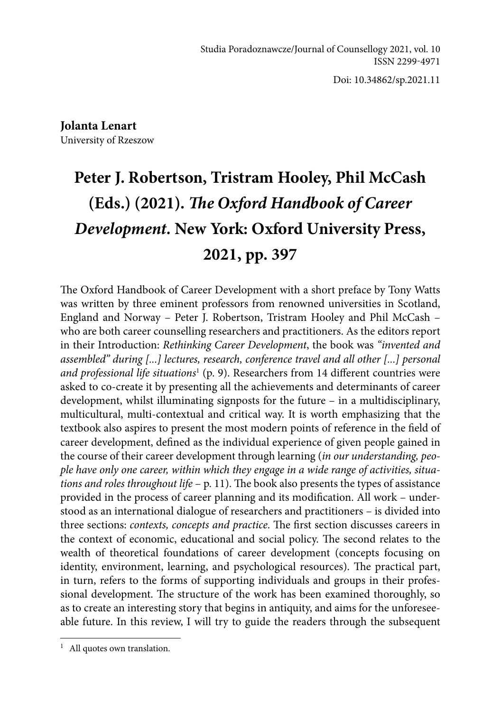Doi: 10.34862/sp.2021.11

**Jolanta Lenart** University of Rzeszow

# **Peter J. Robertson, Tristram Hooley, Phil McCash (Eds.) (2021).** *The Oxford Handbook of Career Development.* **New York: Oxford University Press, 2021, pp. 397**

The Oxford Handbook of Career Development with a short preface by Tony Watts was written by three eminent professors from renowned universities in Scotland, England and Norway – Peter J. Robertson, Tristram Hooley and Phil McCash – who are both career counselling researchers and practitioners. As the editors report in their Introduction: *Rethinking Career Development*, the book was *"invented and assembled" during [...] lectures, research, conference travel and all other [...] personal and professional life situations*<sup>1</sup> (p. 9). Researchers from 14 different countries were asked to co-create it by presenting all the achievements and determinants of career development, whilst illuminating signposts for the future – in a multidisciplinary, multicultural, multi-contextual and critical way. It is worth emphasizing that the textbook also aspires to present the most modern points of reference in the field of career development, defined as the individual experience of given people gained in the course of their career development through learning (*in our understanding, people have only one career, within which they engage in a wide range of activities, situations and roles throughout life* – p. 11). The book also presents the types of assistance provided in the process of career planning and its modification. All work – understood as an international dialogue of researchers and practitioners – is divided into three sections: *contexts, concepts and practice*. The first section discusses careers in the context of economic, educational and social policy. The second relates to the wealth of theoretical foundations of career development (concepts focusing on identity, environment, learning, and psychological resources). The practical part, in turn, refers to the forms of supporting individuals and groups in their professional development. The structure of the work has been examined thoroughly, so as to create an interesting story that begins in antiquity, and aims for the unforeseeable future. In this review, I will try to guide the readers through the subsequent

 $<sup>1</sup>$  All quotes own translation.</sup>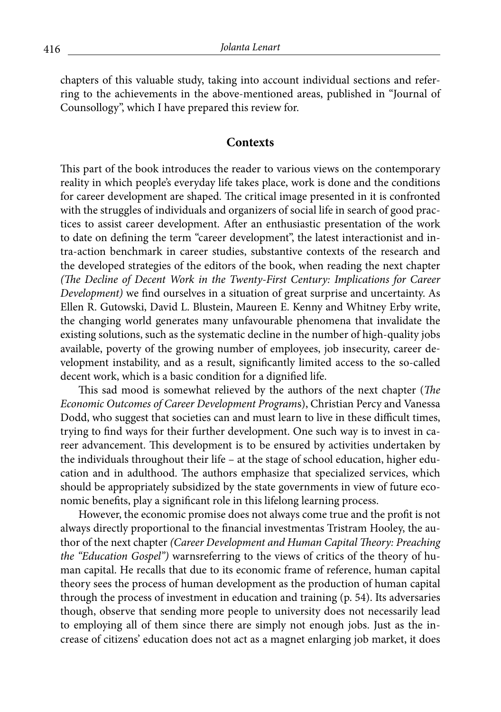chapters of this valuable study, taking into account individual sections and referring to the achievements in the above-mentioned areas, published in "Journal of Counsollogy", which I have prepared this review for.

#### **Contexts**

This part of the book introduces the reader to various views on the contemporary reality in which people's everyday life takes place, work is done and the conditions for career development are shaped. The critical image presented in it is confronted with the struggles of individuals and organizers of social life in search of good practices to assist career development. After an enthusiastic presentation of the work to date on defining the term "career development", the latest interactionist and intra-action benchmark in career studies, substantive contexts of the research and the developed strategies of the editors of the book, when reading the next chapter *(The Decline of Decent Work in the Twenty-First Century: Implications for Career Development)* we find ourselves in a situation of great surprise and uncertainty. As Ellen R. Gutowski, David L. Blustein, Maureen E. Kenny and Whitney Erby write, the changing world generates many unfavourable phenomena that invalidate the existing solutions, such as the systematic decline in the number of high-quality jobs available, poverty of the growing number of employees, job insecurity, career development instability, and as a result, significantly limited access to the so-called decent work, which is a basic condition for a dignified life.

This sad mood is somewhat relieved by the authors of the next chapter (*The Economic Outcomes of Career Development Program*s), Christian Percy and Vanessa Dodd, who suggest that societies can and must learn to live in these difficult times, trying to find ways for their further development. One such way is to invest in career advancement. This development is to be ensured by activities undertaken by the individuals throughout their life – at the stage of school education, higher education and in adulthood. The authors emphasize that specialized services, which should be appropriately subsidized by the state governments in view of future economic benefits, play a significant role in this lifelong learning process.

However, the economic promise does not always come true and the profit is not always directly proportional to the financial investmentas Tristram Hooley, the author of the next chapter *(Career Development and Human Capital Theory: Preaching the "Education Gospel")* warnsreferring to the views of critics of the theory of human capital. He recalls that due to its economic frame of reference, human capital theory sees the process of human development as the production of human capital through the process of investment in education and training (p. 54). Its adversaries though, observe that sending more people to university does not necessarily lead to employing all of them since there are simply not enough jobs. Just as the increase of citizens' education does not act as a magnet enlarging job market, it does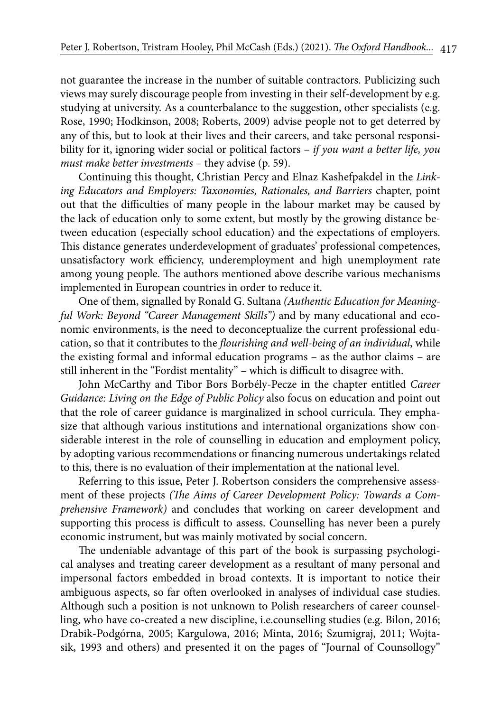not guarantee the increase in the number of suitable contractors. Publicizing such views may surely discourage people from investing in their self-development by e.g. studying at university. As a counterbalance to the suggestion, other specialists (e.g. Rose, 1990; Hodkinson, 2008; Roberts, 2009) advise people not to get deterred by any of this, but to look at their lives and their careers, and take personal responsibility for it, ignoring wider social or political factors – *if you want a better life, you must make better investments* – they advise (p. 59).

Continuing this thought, Christian Percy and Elnaz Kashefpakdel in the *Linking Educators and Employers: Taxonomies, Rationales, and Barriers* chapter, point out that the difficulties of many people in the labour market may be caused by the lack of education only to some extent, but mostly by the growing distance between education (especially school education) and the expectations of employers. This distance generates underdevelopment of graduates' professional competences, unsatisfactory work efficiency, underemployment and high unemployment rate among young people. The authors mentioned above describe various mechanisms implemented in European countries in order to reduce it.

One of them, signalled by Ronald G. Sultana *(Authentic Education for Meaningful Work: Beyond "Career Management Skills")* and by many educational and economic environments, is the need to deconceptualize the current professional education, so that it contributes to the *flourishing and well-being of an individual*, while the existing formal and informal education programs – as the author claims – are still inherent in the "Fordist mentality" – which is difficult to disagree with.

John McCarthy and Tibor Bors Borbély-Pecze in the chapter entitled *Career Guidance: Living on the Edge of Public Policy* also focus on education and point out that the role of career guidance is marginalized in school curricula. They emphasize that although various institutions and international organizations show considerable interest in the role of counselling in education and employment policy, by adopting various recommendations or financing numerous undertakings related to this, there is no evaluation of their implementation at the national level.

Referring to this issue, Peter J. Robertson considers the comprehensive assessment of these projects *(The Aims of Career Development Policy: Towards a Comprehensive Framework)* and concludes that working on career development and supporting this process is difficult to assess. Counselling has never been a purely economic instrument, but was mainly motivated by social concern.

The undeniable advantage of this part of the book is surpassing psychological analyses and treating career development as a resultant of many personal and impersonal factors embedded in broad contexts. It is important to notice their ambiguous aspects, so far often overlooked in analyses of individual case studies. Although such a position is not unknown to Polish researchers of career counselling, who have co-created a new discipline, i.e.counselling studies (e.g. Bilon, 2016; Drabik-Podgórna, 2005; Kargulowa, 2016; Minta, 2016; Szumigraj, 2011; Wojtasik, 1993 and others) and presented it on the pages of "Journal of Counsollogy"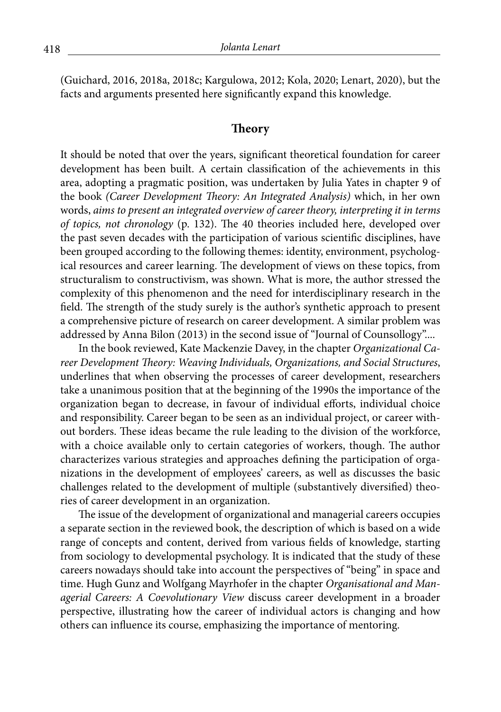(Guichard, 2016, 2018a, 2018c; Kargulowa, 2012; Kola, 2020; Lenart, 2020), but the facts and arguments presented here significantly expand this knowledge.

#### **Theory**

It should be noted that over the years, significant theoretical foundation for career development has been built. A certain classification of the achievements in this area, adopting a pragmatic position, was undertaken by Julia Yates in chapter 9 of the book *(Career Development Theory: An Integrated Analysis)* which, in her own words, *aims to present an integrated overview of career theory, interpreting it in terms of topics, not chronology* (p. 132). The 40 theories included here, developed over the past seven decades with the participation of various scientific disciplines, have been grouped according to the following themes: identity, environment, psychological resources and career learning. The development of views on these topics, from structuralism to constructivism, was shown. What is more, the author stressed the complexity of this phenomenon and the need for interdisciplinary research in the field. The strength of the study surely is the author's synthetic approach to present a comprehensive picture of research on career development. A similar problem was addressed by Anna Bilon (2013) in the second issue of "Journal of Counsollogy"....

In the book reviewed, Kate Mackenzie Davey, in the chapter *Organizational Career Development Theory: Weaving Individuals, Organizations, and Social Structures*, underlines that when observing the processes of career development, researchers take a unanimous position that at the beginning of the 1990s the importance of the organization began to decrease, in favour of individual efforts, individual choice and responsibility. Career began to be seen as an individual project, or career without borders. These ideas became the rule leading to the division of the workforce, with a choice available only to certain categories of workers, though. The author characterizes various strategies and approaches defining the participation of organizations in the development of employees' careers, as well as discusses the basic challenges related to the development of multiple (substantively diversified) theories of career development in an organization.

The issue of the development of organizational and managerial careers occupies a separate section in the reviewed book, the description of which is based on a wide range of concepts and content, derived from various fields of knowledge, starting from sociology to developmental psychology. It is indicated that the study of these careers nowadays should take into account the perspectives of "being" in space and time. Hugh Gunz and Wolfgang Mayrhofer in the chapter *Organisational and Managerial Careers: A Coevolutionary View* discuss career development in a broader perspective, illustrating how the career of individual actors is changing and how others can influence its course, emphasizing the importance of mentoring.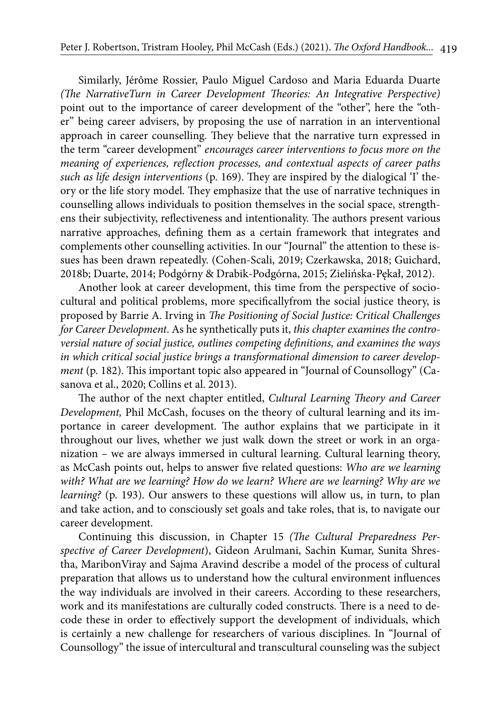Similarly, Jérôme Rossier, Paulo Miguel Cardoso and Maria Eduarda Duarte *(The NarrativeTurn in Career Development Theories: An Integrative Perspective)*  point out to the importance of career development of the "other", here the "other" being career advisers, by proposing the use of narration in an interventional approach in career counselling. They believe that the narrative turn expressed in the term "career development" *encourages career interventions to focus more on the meaning of experiences, reflection processes, and contextual aspects of career paths such as life design interventions* (p. 169). They are inspired by the dialogical 'I' theory or the life story model. They emphasize that the use of narrative techniques in counselling allows individuals to position themselves in the social space, strengthens their subjectivity, reflectiveness and intentionality. The authors present various narrative approaches, defining them as a certain framework that integrates and complements other counselling activities. In our "Journal" the attention to these issues has been drawn repeatedly. (Cohen-Scali, 2019; Czerkawska, 2018; Guichard, 2018b; Duarte, 2014; Podgórny & Drabik-Podgórna, 2015; Zielińska-Pękał, 2012).

Another look at career development, this time from the perspective of sociocultural and political problems, more specificallyfrom the social justice theory, is proposed by Barrie A. Irving in *The Positioning of Social Justice: Critical Challenges for Career Development*. As he synthetically puts it, *this chapter examines the controversial nature of social justice, outlines competing definitions, and examines the ways in which critical social justice brings a transformational dimension to career development* (p. 182). This important topic also appeared in "Journal of Counsollogy" (Casanova et al., 2020; Collins et al. 2013).

The author of the next chapter entitled, *Cultural Learning Theory and Career Development,* Phil McCash, focuses on the theory of cultural learning and its importance in career development. The author explains that we participate in it throughout our lives, whether we just walk down the street or work in an organization – we are always immersed in cultural learning. Cultural learning theory, as McCash points out, helps to answer five related questions: *Who are we learning with? What are we learning? How do we learn? Where are we learning? Why are we learning?* (p. 193). Our answers to these questions will allow us, in turn, to plan and take action, and to consciously set goals and take roles, that is, to navigate our career development.

Continuing this discussion, in Chapter 15 *(The Cultural Preparedness Perspective of Career Development*), Gideon Arulmani, Sachin Kumar, Sunita Shrestha, MaribonViray and Sajma Aravind describe a model of the process of cultural preparation that allows us to understand how the cultural environment influences the way individuals are involved in their careers. According to these researchers, work and its manifestations are culturally coded constructs. There is a need to decode these in order to effectively support the development of individuals, which is certainly a new challenge for researchers of various disciplines. In "Journal of Counsollogy" the issue of intercultural and transcultural counseling was the subject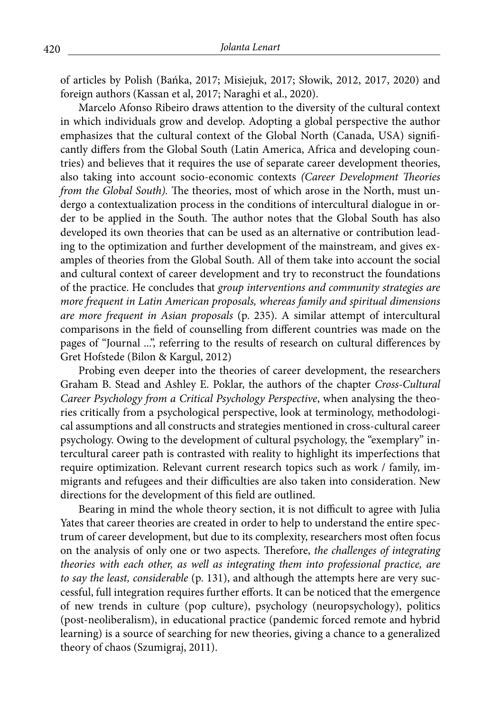of articles by Polish (Bańka, 2017; Misiejuk, 2017; Słowik, 2012, 2017, 2020) and foreign authors (Kassan et al, 2017; Naraghi et al., 2020).

Marcelo Afonso Ribeiro draws attention to the diversity of the cultural context in which individuals grow and develop. Adopting a global perspective the author emphasizes that the cultural context of the Global North (Canada, USA) significantly differs from the Global South (Latin America, Africa and developing countries) and believes that it requires the use of separate career development theories, also taking into account socio-economic contexts *(Career Development Theories from the Global South).* The theories, most of which arose in the North, must undergo a contextualization process in the conditions of intercultural dialogue in order to be applied in the South. The author notes that the Global South has also developed its own theories that can be used as an alternative or contribution leading to the optimization and further development of the mainstream, and gives examples of theories from the Global South. All of them take into account the social and cultural context of career development and try to reconstruct the foundations of the practice. He concludes that *group interventions and community strategies are more frequent in Latin American proposals, whereas family and spiritual dimensions are more frequent in Asian proposals* (p. 235). A similar attempt of intercultural comparisons in the field of counselling from different countries was made on the pages of "Journal ...", referring to the results of research on cultural differences by Gret Hofstede (Bilon & Kargul, 2012)

Probing even deeper into the theories of career development, the researchers Graham B. Stead and Ashley E. Poklar, the authors of the chapter *Cross-Cultural Career Psychology from a Critical Psychology Perspective*, when analysing the theories critically from a psychological perspective, look at terminology, methodological assumptions and all constructs and strategies mentioned in cross-cultural career psychology. Owing to the development of cultural psychology, the "exemplary" intercultural career path is contrasted with reality to highlight its imperfections that require optimization. Relevant current research topics such as work / family, immigrants and refugees and their difficulties are also taken into consideration. New directions for the development of this field are outlined.

Bearing in mind the whole theory section, it is not difficult to agree with Julia Yates that career theories are created in order to help to understand the entire spectrum of career development, but due to its complexity, researchers most often focus on the analysis of only one or two aspects. Therefore, *the challenges of integrating theories with each other, as well as integrating them into professional practice, are to say the least, considerable* (p. 131), and although the attempts here are very successful, full integration requires further efforts. It can be noticed that the emergence of new trends in culture (pop culture), psychology (neuropsychology), politics (post-neoliberalism), in educational practice (pandemic forced remote and hybrid learning) is a source of searching for new theories, giving a chance to a generalized theory of chaos (Szumigraj, 2011).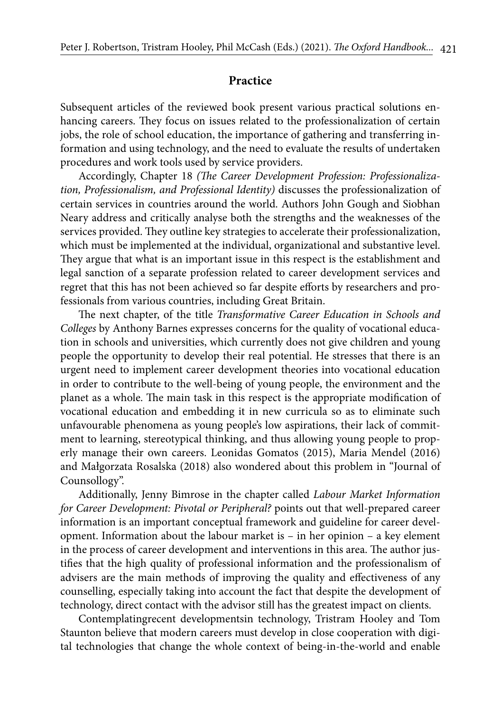### **Practice**

Subsequent articles of the reviewed book present various practical solutions enhancing careers. They focus on issues related to the professionalization of certain jobs, the role of school education, the importance of gathering and transferring information and using technology, and the need to evaluate the results of undertaken procedures and work tools used by service providers.

Accordingly, Chapter 18 *(The Career Development Profession: Professionalization, Professionalism, and Professional Identity)* discusses the professionalization of certain services in countries around the world. Authors John Gough and Siobhan Neary address and critically analyse both the strengths and the weaknesses of the services provided. They outline key strategies to accelerate their professionalization, which must be implemented at the individual, organizational and substantive level. They argue that what is an important issue in this respect is the establishment and legal sanction of a separate profession related to career development services and regret that this has not been achieved so far despite efforts by researchers and professionals from various countries, including Great Britain.

The next chapter, of the title *Transformative Career Education in Schools and Colleges* by Anthony Barnes expresses concerns for the quality of vocational education in schools and universities, which currently does not give children and young people the opportunity to develop their real potential. He stresses that there is an urgent need to implement career development theories into vocational education in order to contribute to the well-being of young people, the environment and the planet as a whole. The main task in this respect is the appropriate modification of vocational education and embedding it in new curricula so as to eliminate such unfavourable phenomena as young people's low aspirations, their lack of commitment to learning, stereotypical thinking, and thus allowing young people to properly manage their own careers. Leonidas Gomatos (2015), Maria Mendel (2016) and Małgorzata Rosalska (2018) also wondered about this problem in "Journal of Counsollogy".

Additionally, Jenny Bimrose in the chapter called *Labour Market Information for Career Development: Pivotal or Peripheral?* points out that well-prepared career information is an important conceptual framework and guideline for career development. Information about the labour market is – in her opinion – a key element in the process of career development and interventions in this area. The author justifies that the high quality of professional information and the professionalism of advisers are the main methods of improving the quality and effectiveness of any counselling, especially taking into account the fact that despite the development of technology, direct contact with the advisor still has the greatest impact on clients.

Contemplatingrecent developmentsin technology, Tristram Hooley and Tom Staunton believe that modern careers must develop in close cooperation with digital technologies that change the whole context of being-in-the-world and enable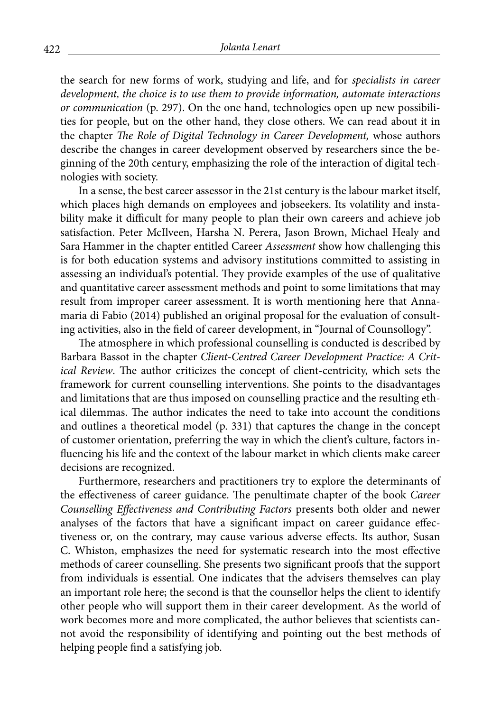the search for new forms of work, studying and life, and for *specialists in career development, the choice is to use them to provide information, automate interactions or communication* (p. 297). On the one hand, technologies open up new possibilities for people, but on the other hand, they close others. We can read about it in the chapter *The Role of Digital Technology in Career Development,* whose authors describe the changes in career development observed by researchers since the beginning of the 20th century, emphasizing the role of the interaction of digital technologies with society.

In a sense, the best career assessor in the 21st century is the labour market itself, which places high demands on employees and jobseekers. Its volatility and instability make it difficult for many people to plan their own careers and achieve job satisfaction. Peter McIlveen, Harsha N. Perera, Jason Brown, Michael Healy and Sara Hammer in the chapter entitled Career *Assessment* show how challenging this is for both education systems and advisory institutions committed to assisting in assessing an individual's potential. They provide examples of the use of qualitative and quantitative career assessment methods and point to some limitations that may result from improper career assessment. It is worth mentioning here that Annamaria di Fabio (2014) published an original proposal for the evaluation of consulting activities, also in the field of career development, in "Journal of Counsollogy".

The atmosphere in which professional counselling is conducted is described by Barbara Bassot in the chapter *Client-Centred Career Development Practice: A Critical Review*. The author criticizes the concept of client-centricity, which sets the framework for current counselling interventions. She points to the disadvantages and limitations that are thus imposed on counselling practice and the resulting ethical dilemmas. The author indicates the need to take into account the conditions and outlines a theoretical model (p. 331) that captures the change in the concept of customer orientation, preferring the way in which the client's culture, factors influencing his life and the context of the labour market in which clients make career decisions are recognized.

Furthermore, researchers and practitioners try to explore the determinants of the effectiveness of career guidance. The penultimate chapter of the book *Career Counselling Effectiveness and Contributing Factors* presents both older and newer analyses of the factors that have a significant impact on career guidance effectiveness or, on the contrary, may cause various adverse effects. Its author, Susan C. Whiston, emphasizes the need for systematic research into the most effective methods of career counselling. She presents two significant proofs that the support from individuals is essential. One indicates that the advisers themselves can play an important role here; the second is that the counsellor helps the client to identify other people who will support them in their career development. As the world of work becomes more and more complicated, the author believes that scientists cannot avoid the responsibility of identifying and pointing out the best methods of helping people find a satisfying job.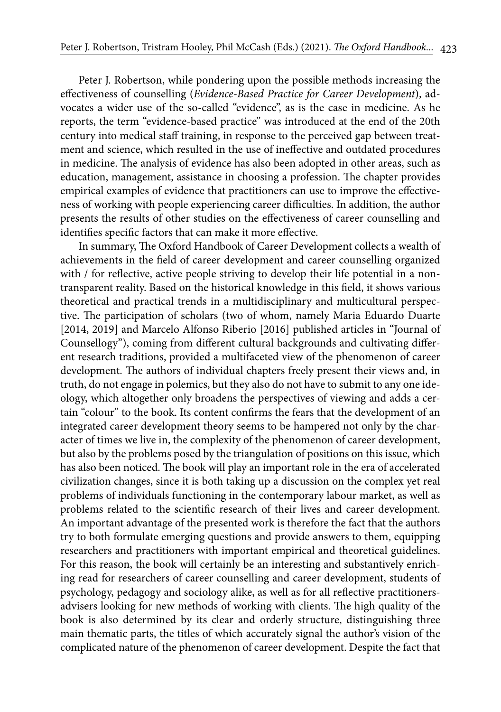Peter J. Robertson, while pondering upon the possible methods increasing the effectiveness of counselling (*Evidence-Based Practice for Career Development*), advocates a wider use of the so-called "evidence", as is the case in medicine. As he reports, the term "evidence-based practice" was introduced at the end of the 20th century into medical staff training, in response to the perceived gap between treatment and science, which resulted in the use of ineffective and outdated procedures in medicine. The analysis of evidence has also been adopted in other areas, such as education, management, assistance in choosing a profession. The chapter provides empirical examples of evidence that practitioners can use to improve the effectiveness of working with people experiencing career difficulties. In addition, the author presents the results of other studies on the effectiveness of career counselling and identifies specific factors that can make it more effective.

In summary, The Oxford Handbook of Career Development collects a wealth of achievements in the field of career development and career counselling organized with / for reflective, active people striving to develop their life potential in a nontransparent reality. Based on the historical knowledge in this field, it shows various theoretical and practical trends in a multidisciplinary and multicultural perspective. The participation of scholars (two of whom, namely Maria Eduardo Duarte [2014, 2019] and Marcelo Alfonso Riberio [2016] published articles in "Journal of Counsellogy"), coming from different cultural backgrounds and cultivating different research traditions, provided a multifaceted view of the phenomenon of career development. The authors of individual chapters freely present their views and, in truth, do not engage in polemics, but they also do not have to submit to any one ideology, which altogether only broadens the perspectives of viewing and adds a certain "colour" to the book. Its content confirms the fears that the development of an integrated career development theory seems to be hampered not only by the character of times we live in, the complexity of the phenomenon of career development, but also by the problems posed by the triangulation of positions on this issue, which has also been noticed. The book will play an important role in the era of accelerated civilization changes, since it is both taking up a discussion on the complex yet real problems of individuals functioning in the contemporary labour market, as well as problems related to the scientific research of their lives and career development. An important advantage of the presented work is therefore the fact that the authors try to both formulate emerging questions and provide answers to them, equipping researchers and practitioners with important empirical and theoretical guidelines. For this reason, the book will certainly be an interesting and substantively enriching read for researchers of career counselling and career development, students of psychology, pedagogy and sociology alike, as well as for all reflective practitionersadvisers looking for new methods of working with clients. The high quality of the book is also determined by its clear and orderly structure, distinguishing three main thematic parts, the titles of which accurately signal the author's vision of the complicated nature of the phenomenon of career development. Despite the fact that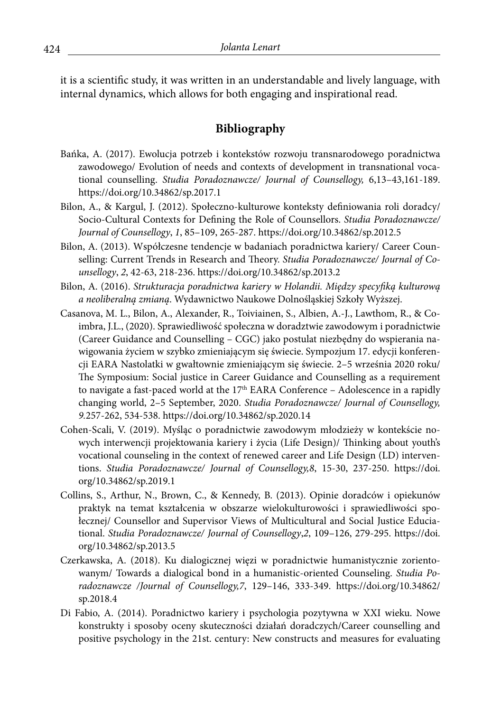it is a scientific study, it was written in an understandable and lively language, with internal dynamics, which allows for both engaging and inspirational read.

## **Bibliography**

- Bańka, A. (2017). Ewolucja potrzeb i kontekstów rozwoju transnarodowego poradnictwa zawodowego/ Evolution of needs and contexts of development in transnational vocational counselling. *Studia Poradoznawcze/ Journal of Counsellogy,* 6,13–43,161-189. https://doi.org/10.34862/sp.2017.1
- Bilon, A., & Kargul, J. (2012). Społeczno-kulturowe konteksty definiowania roli doradcy/ Socio-Cultural Contexts for Defining the Role of Counsellors. *Studia Poradoznawcze/ Journal of Counsellogy*, *1*, 85–109, 265-287. https://doi.org/10.34862/sp.2012.5
- Bilon, A. (2013). Współczesne tendencje w badaniach poradnictwa kariery/ Career Counselling: Current Trends in Research and Theory. *Studia Poradoznawcze/ Journal of Counsellogy*, *2*, 42-63, 218-236. https://doi.org/10.34862/sp.2013.2
- Bilon, A. (2016). *Strukturacja poradnictwa kariery w Holandii. Między specyfiką kulturową a neoliberalną zmianą*. Wydawnictwo Naukowe Dolnośląskiej Szkoły Wyższej.
- Casanova, M. L., Bilon, A., Alexander, R., Toiviainen, S., Albien, A.-J., Lawthom, R., & Coimbra, J.L., (2020). Sprawiedliwość społeczna w doradztwie zawodowym i poradnictwie (Career Guidance and Counselling – CGC) jako postulat niezbędny do wspierania nawigowania życiem w szybko zmieniającym się świecie. Sympozjum 17. edycji konferencji EARA Nastolatki w gwałtownie zmieniającym się świecie. 2–5 września 2020 roku/ The Symposium: Social justice in Career Guidance and Counselling as a requirement to navigate a fast-paced world at the  $17<sup>th</sup>$  EARA Conference – Adolescence in a rapidly changing world, 2–5 September, 2020. *Studia Poradoznawcze/ Journal of Counsellogy, 9.*257-262, 534-538. https://doi.org/10.34862/sp.2020.14
- Cohen-Scali, V. (2019). Myśląc o poradnictwie zawodowym młodzieży w kontekście nowych interwencji projektowania kariery i życia (Life Design)/ Thinking about youth's vocational counseling in the context of renewed career and Life Design (LD) interventions. *Studia Poradoznawcze/ Journal of Counsellogy,8*, 15-30, 237-250. https://doi. org/10.34862/sp.2019.1
- Collins, S., Arthur, N., Brown, C., & Kennedy, B. (2013). Opinie doradców i opiekunów praktyk na temat kształcenia w obszarze wielokulturowości i sprawiedliwości społecznej/ Counsellor and Supervisor Views of Multicultural and Social Justice Educiational. *Studia Poradoznawcze/ Journal of Counsellogy*,*2*, 109–126, 279-295. https://doi. org/10.34862/sp.2013.5
- Czerkawska, A. (2018). Ku dialogicznej więzi w poradnictwie humanistycznie zorientowanym/ Towards a dialogical bond in a humanistic-oriented Counseling. *Studia Poradoznawcze /Journal of Counsellogy,7*, 129–146, 333-349. https://doi.org/10.34862/ sp.2018.4
- Di Fabio, A. (2014). Poradnictwo kariery i psychologia pozytywna w XXI wieku. Nowe konstrukty i sposoby oceny skuteczności działań doradczych/Career counselling and positive psychology in the 21st. century: New constructs and measures for evaluating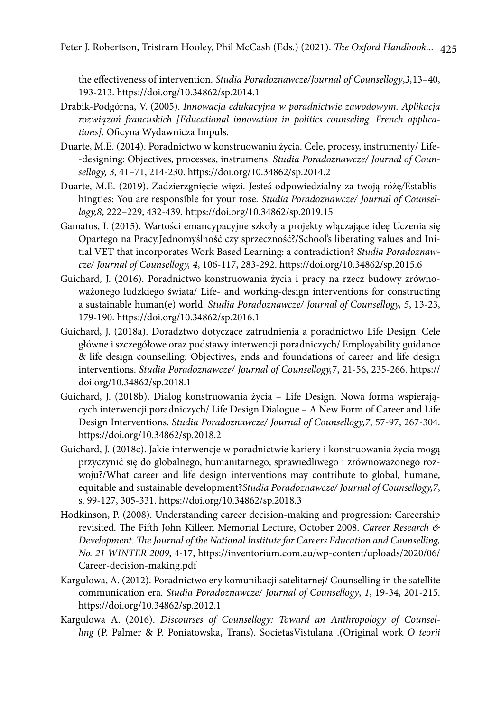the effectiveness of intervention. *Studia Poradoznawcze/Journal of Counsellogy*,*3,*13–40, 193-213. https://doi.org/10.34862/sp.2014.1

- Drabik-Podgórna, V. (2005). *Innowacja edukacyjna w poradnictwie zawodowym. Aplikacja rozwiązań francuskich [Educational innovation in politics counseling. French applications].* Oficyna Wydawnicza Impuls.
- Duarte, M.E. (2014). Poradnictwo w konstruowaniu życia. Cele, procesy, instrumenty/ Life- -designing: Objectives, processes, instrumens. *Studia Poradoznawcze/ Journal of Counsellogy, 3*, 41–71, 214-230. https://doi.org/10.34862/sp.2014.2
- Duarte, M.E. (2019). Zadzierzgnięcie więzi. Jesteś odpowiedzialny za twoją różę*/*Establishingties: You are responsible for your rose*. Studia Poradoznawcze/ Journal of Counsellogy,8*, 222–229, 432-439. https://doi.org/10.34862/sp.2019.15
- Gamatos, L (2015). Wartości emancypacyjne szkoły a projekty włączające ideę Uczenia się Opartego na Pracy.Jednomyślność czy sprzeczność?/School's liberating values and Initial VET that incorporates Work Based Learning: a contradiction? *Studia Poradoznawcze/ Journal of Counsellogy, 4*, 106-117, 283-292. https://doi.org/10.34862/sp.2015.6
- Guichard, J. (2016). Poradnictwo konstruowania życia i pracy na rzecz budowy zrównoważonego ludzkiego świata/ Life- and working-design interventions for constructing a sustainable human(e) world. *Studia Poradoznawcze/ Journal of Counsellogy, 5*, 13-23, 179-190. https://doi.org/10.34862/sp.2016.1
- Guichard, J. (2018a). Doradztwo dotyczące zatrudnienia a poradnictwo Life Design. Cele główne i szczegółowe oraz podstawy interwencji poradniczych/ Employability guidance & life design counselling: Objectives, ends and foundations of career and life design interventions. *Studia Poradoznawcze/ Journal of Counsellogy,*7, 21-56, 235-266. https:// doi.org/10.34862/sp.2018.1
- Guichard, J. (2018b). Dialog konstruowania życia Life Design. Nowa forma wspierających interwencji poradniczych/ Life Design Dialogue – A New Form of Career and Life Design Interventions. *Studia Poradoznawcze/ Journal of Counsellogy,7*, 57-97, 267-304. https://doi.org/10.34862/sp.2018.2
- Guichard, J. (2018c). Jakie interwencje w poradnictwie kariery i konstruowania życia mogą przyczynić się do globalnego, humanitarnego, sprawiedliwego i zrównoważonego rozwoju?/What career and life design interventions may contribute to global, humane, equitable and sustainable development?*Studia Poradoznawcze/ Journal of Counsellogy,7*, s. 99-127, 305-331. https://doi.org/10.34862/sp.2018.3
- Hodkinson, P. (2008). Understanding career decision-making and progression: Careership revisited. The Fifth John Killeen Memorial Lecture, October 2008. *Career Research & Development. The Journal of the National Institute for Careers Education and Counselling, No. 21 WINTER 2009*, 4-17, https://inventorium.com.au/wp-content/uploads/2020/06/ Career-decision-making.pdf
- Kargulowa, A. (2012). Poradnictwo ery komunikacji satelitarnej/ Counselling in the satellite communication era. *Studia Poradoznawcze/ Journal of Counsellogy*, *1*, 19-34, 201-215. https://doi.org/10.34862/sp.2012.1
- Kargulowa A. (2016). *Discourses of Counsellogy: Toward an Anthropology of Counselling* (P. Palmer & P. Poniatowska, Trans). SocietasVistulana .(Original work *O teorii*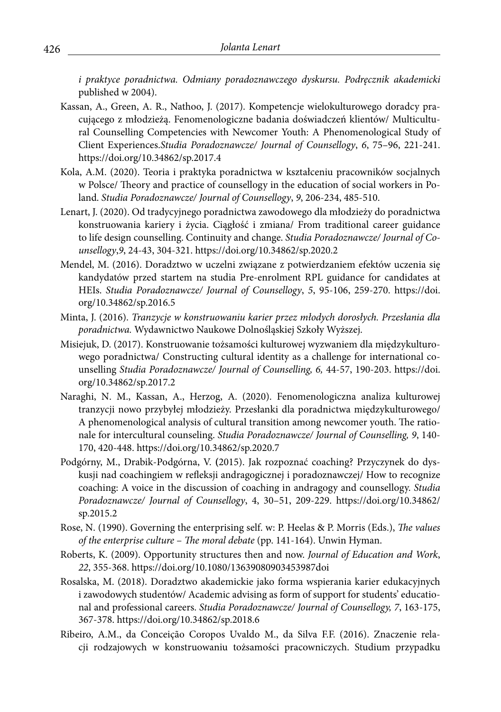*i praktyce poradnictwa. Odmiany poradoznawczego dyskursu. Podręcznik akademicki*  published w 2004).

- Kassan, A., Green, A. R., Nathoo, J. (2017). Kompetencje wielokulturowego doradcy pracującego z młodzieżą. Fenomenologiczne badania doświadczeń klientów/ Multicultural Counselling Competencies with Newcomer Youth: A Phenomenological Study of Client Experiences.*Studia Poradoznawcze/ Journal of Counsellogy*, *6*, 75–96, 221-241. https://doi.org/10.34862/sp.2017.4
- Kola, A.M. (2020). Teoria i praktyka poradnictwa w kształceniu pracowników socjalnych w Polsce/ Theory and practice of counsellogy in the education of social workers in Poland. *Studia Poradoznawcze/ Journal of Counsellogy*, *9*, 206-234, 485-510.
- Lenart, J. (2020). Od tradycyjnego poradnictwa zawodowego dla młodzieży do poradnictwa konstruowania kariery i życia. Ciągłość i zmiana/ From traditional career guidance to life design counselling. Continuity and change. *Studia Poradoznawcze/ Journal of Counsellogy*,*9*, 24-43, 304-321. https://doi.org/10.34862/sp.2020.2
- Mendel, M. (2016). Doradztwo w uczelni związane z potwierdzaniem efektów uczenia się kandydatów przed startem na studia Pre-enrolment RPL guidance for candidates at HEIs. *Studia Poradoznawcze/ Journal of Counsellogy*, *5*, 95-106, 259-270. https://doi. org/10.34862/sp.2016.5
- Minta, J. (2016). *Tranzycje w konstruowaniu karier przez młodych dorosłych. Przesłania dla poradnictwa.* Wydawnictwo Naukowe Dolnośląskiej Szkoły Wyższej.
- Misiejuk, D. (2017). Konstruowanie tożsamości kulturowej wyzwaniem dla międzykulturowego poradnictwa/ Constructing cultural identity as a challenge for international counselling *Studia Poradoznawcze/ Journal of Counselling, 6,* 44-57, 190-203. https://doi. org/10.34862/sp.2017.2
- Naraghi, N. M., Kassan, A., Herzog, A. (2020). Fenomenologiczna analiza kulturowej tranzycji nowo przybyłej młodzieży. Przesłanki dla poradnictwa międzykulturowego/ A phenomenological analysis of cultural transition among newcomer youth. The rationale for intercultural counseling. *Studia Poradoznawcze/ Journal of Counselling, 9*, 140- 170, 420-448. https://doi.org/10.34862/sp.2020.7
- Podgórny, M., Drabik-Podgórna, V. **(**2015). Jak rozpoznać coaching? Przyczynek do dyskusji nad coachingiem w refleksji andragogicznej i poradoznawczej/ How to recognize coaching: A voice in the discussion of coaching in andragogy and counsellogy. *Studia Poradoznawcze/ Journal of Counsellogy*, 4, 30–51, 209-229. https://doi.org/10.34862/ sp.2015.2
- Rose, N. (1990). Governing the enterprising self. w: P. Heelas & P. Morris (Eds.), *The values of the enterprise culture* – *The moral debate* (pp. 141-164). Unwin Hyman.
- Roberts, K. (2009). Opportunity structures then and now. *Journal of Education and Work*, *22*, 355-368. https://doi.org/10.1080/13639080903453987doi
- Rosalska, M. (2018). Doradztwo akademickie jako forma wspierania karier edukacyjnych i zawodowych studentów/ Academic advising as form of support for students' educational and professional careers. *Studia Poradoznawcze/ Journal of Counsellogy, 7*, 163-175, 367-378. https://doi.org/10.34862/sp.2018.6
- Ribeiro, A.M., da Conceição Coropos Uvaldo M., da Silva F.F. (2016). Znaczenie relacji rodzajowych w konstruowaniu tożsamości pracowniczych. Studium przypadku